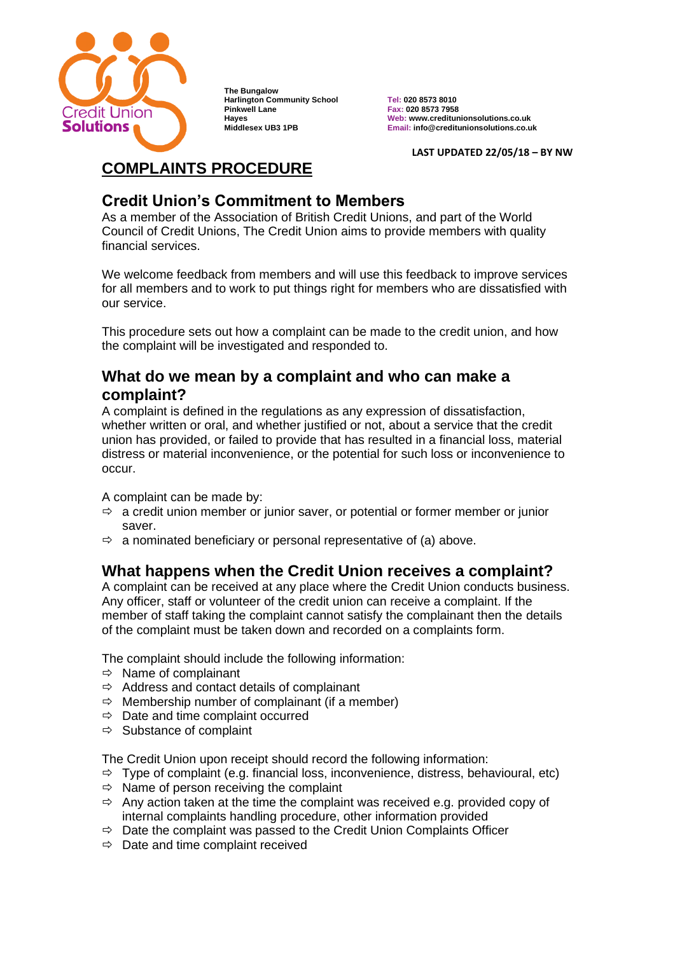

**The Bungalow Harlington Community School Tel: 020 8573 8010 Pinkwell Lane Fax: 020 8573 7958**

**Hayes Web: www.creditunionsolutions.co.uk Middlesex UB3 1PB Email: info@creditunionsolutions.co.uk**

**LAST UPDATED 22/05/18 – BY NW**

# **COMPLAINTS PROCEDURE**

### **Credit Union's Commitment to Members**

As a member of the Association of British Credit Unions, and part of the World Council of Credit Unions, The Credit Union aims to provide members with quality financial services.

We welcome feedback from members and will use this feedback to improve services for all members and to work to put things right for members who are dissatisfied with our service.

This procedure sets out how a complaint can be made to the credit union, and how the complaint will be investigated and responded to.

### **What do we mean by a complaint and who can make a complaint?**

A complaint is defined in the regulations as any expression of dissatisfaction, whether written or oral, and whether justified or not, about a service that the credit union has provided, or failed to provide that has resulted in a financial loss, material distress or material inconvenience, or the potential for such loss or inconvenience to occur.

A complaint can be made by:

- $\Rightarrow$  a credit union member or junior saver, or potential or former member or junior saver.
- $\Rightarrow$  a nominated beneficiary or personal representative of (a) above.

## **What happens when the Credit Union receives a complaint?**

A complaint can be received at any place where the Credit Union conducts business. Any officer, staff or volunteer of the credit union can receive a complaint. If the member of staff taking the complaint cannot satisfy the complainant then the details of the complaint must be taken down and recorded on a complaints form.

The complaint should include the following information:

- $\Rightarrow$  Name of complainant
- $\Rightarrow$  Address and contact details of complainant
- $\Rightarrow$  Membership number of complainant (if a member)
- $\Rightarrow$  Date and time complaint occurred
- $\Rightarrow$  Substance of complaint

The Credit Union upon receipt should record the following information:

- $\Rightarrow$  Type of complaint (e.g. financial loss, inconvenience, distress, behavioural, etc)
- $\Rightarrow$  Name of person receiving the complaint
- $\Rightarrow$  Any action taken at the time the complaint was received e.g. provided copy of internal complaints handling procedure, other information provided
- $\Rightarrow$  Date the complaint was passed to the Credit Union Complaints Officer
- $\Rightarrow$  Date and time complaint received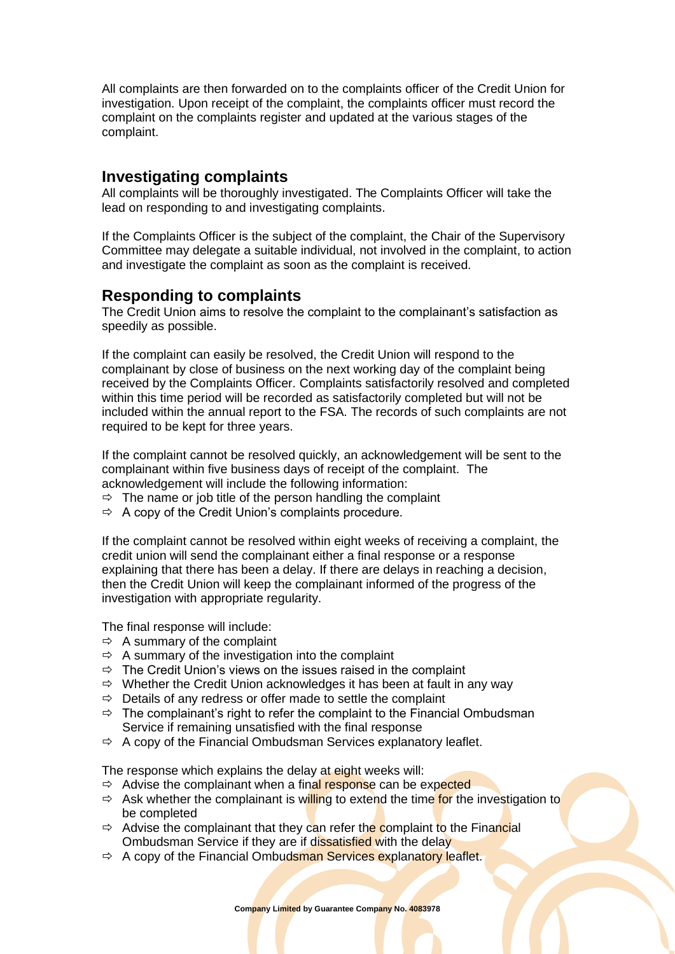All complaints are then forwarded on to the complaints officer of the Credit Union for investigation. Upon receipt of the complaint, the complaints officer must record the complaint on the complaints register and updated at the various stages of the complaint.

#### **Investigating complaints**

All complaints will be thoroughly investigated. The Complaints Officer will take the lead on responding to and investigating complaints.

If the Complaints Officer is the subject of the complaint, the Chair of the Supervisory Committee may delegate a suitable individual, not involved in the complaint, to action and investigate the complaint as soon as the complaint is received.

#### **Responding to complaints**

The Credit Union aims to resolve the complaint to the complainant's satisfaction as speedily as possible.

If the complaint can easily be resolved, the Credit Union will respond to the complainant by close of business on the next working day of the complaint being received by the Complaints Officer. Complaints satisfactorily resolved and completed within this time period will be recorded as satisfactorily completed but will not be included within the annual report to the FSA. The records of such complaints are not required to be kept for three years.

If the complaint cannot be resolved quickly, an acknowledgement will be sent to the complainant within five business days of receipt of the complaint. The acknowledgement will include the following information:

- $\Rightarrow$  The name or job title of the person handling the complaint
- $\Rightarrow$  A copy of the Credit Union's complaints procedure.

If the complaint cannot be resolved within eight weeks of receiving a complaint, the credit union will send the complainant either a final response or a response explaining that there has been a delay. If there are delays in reaching a decision, then the Credit Union will keep the complainant informed of the progress of the investigation with appropriate regularity.

The final response will include:

- $\Rightarrow$  A summary of the complaint
- $\Rightarrow$  A summary of the investigation into the complaint
- $\Rightarrow$  The Credit Union's views on the issues raised in the complaint
- $\Rightarrow$  Whether the Credit Union acknowledges it has been at fault in any way
- $\Rightarrow$  Details of any redress or offer made to settle the complaint
- $\Rightarrow$  The complainant's right to refer the complaint to the Financial Ombudsman Service if remaining unsatisfied with the final response
- $\Rightarrow$  A copy of the Financial Ombudsman Services explanatory leaflet.

The response which explains the delay at eight weeks will:

- $\Rightarrow$  Advise the complainant when a final response can be expected
- $\Rightarrow$  Ask whether the complainant is willing to extend the time for the investigation to be completed
- $\Rightarrow$  Advise the complainant that they can refer the complaint to the Financial Ombudsman Service if they are if dissatisfied with the delay
- $\Rightarrow$  A copy of the Financial Ombudsman Services explanatory leaflet.

**Company Limited by Guarantee Company No. 4083978**